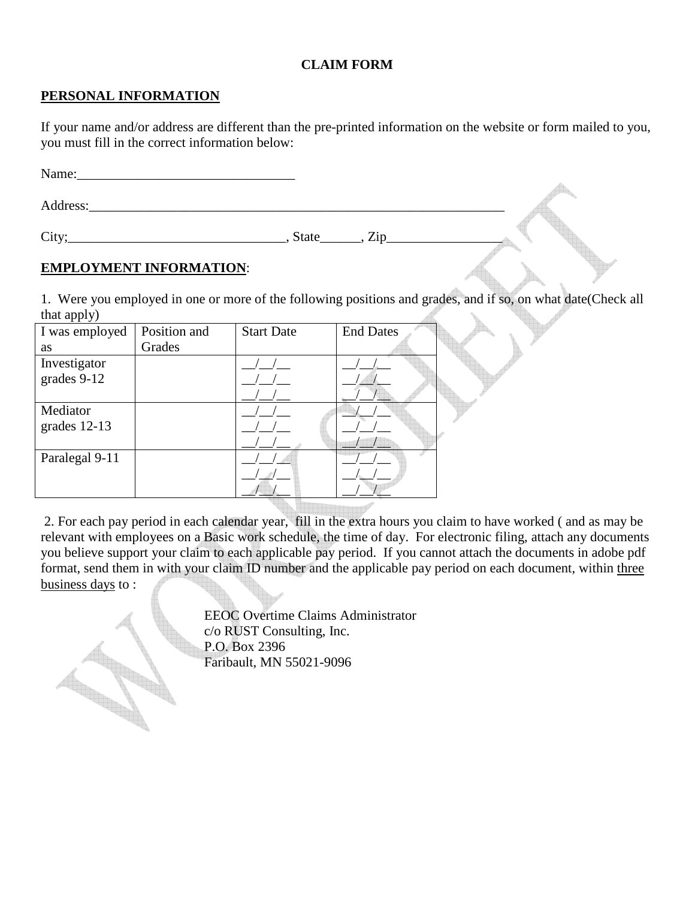## **CLAIM FORM**

## **PERSONAL INFORMATION**

If your name and/or address are different than the pre-printed information on the website or form mailed to you, you must fill in the correct information below:

| Name:    |                     |       |
|----------|---------------------|-------|
| Address: |                     |       |
| City;    | Zip<br><b>State</b> | and a |

## **EMPLOYMENT INFORMATION**:

1. Were you employed in one or more of the following positions and grades, and if so, on what date(Check all  $that$  apply $)$ 

| I was employed | Position and | <b>Start Date</b> | <b>End Dates</b> |
|----------------|--------------|-------------------|------------------|
| <b>as</b>      | Grades       |                   |                  |
| Investigator   |              |                   |                  |
| grades 9-12    |              |                   |                  |
|                |              |                   |                  |
| Mediator       |              |                   |                  |
| grades $12-13$ |              |                   |                  |
|                |              |                   |                  |
| Paralegal 9-11 |              |                   |                  |
|                |              |                   |                  |
|                |              |                   |                  |

 2. For each pay period in each calendar year, fill in the extra hours you claim to have worked ( and as may be relevant with employees on a Basic work schedule, the time of day. For electronic filing, attach any documents you believe support your claim to each applicable pay period. If you cannot attach the documents in adobe pdf format, send them in with your claim ID number and the applicable pay period on each document, within three business days to :

 EEOC Overtime Claims Administrator c/o RUST Consulting, Inc. P.O. Box 2396<br>Faribault, MN 5 Faribault, MN 55021-9096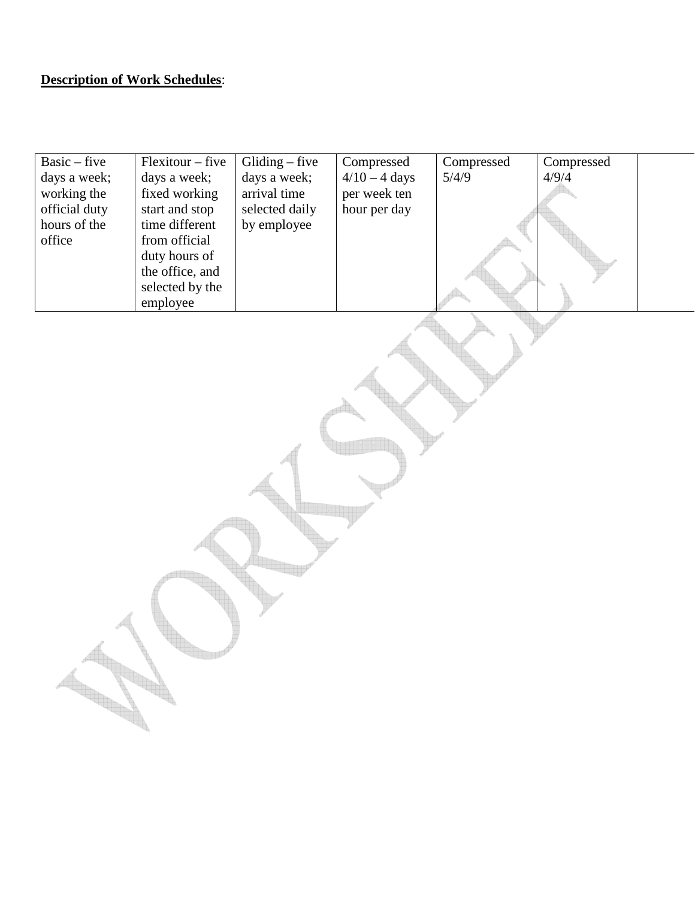## **Description of Work Schedules**:

| $Basic - five$<br>days a week;<br>working the<br>official duty<br>hours of the<br>office | Flexitour - five<br>days a week;<br>fixed working<br>start and stop<br>time different<br>from official<br>duty hours of<br>the office, and<br>selected by the<br>employee | $Gliding$ – five<br>days a week;<br>arrival time<br>selected daily<br>by employee | Compressed<br>$4/10 - 4$ days<br>per week ten<br>hour per day | Compressed<br>5/4/9 | Compressed<br>4/9/4 |  |
|------------------------------------------------------------------------------------------|---------------------------------------------------------------------------------------------------------------------------------------------------------------------------|-----------------------------------------------------------------------------------|---------------------------------------------------------------|---------------------|---------------------|--|
|                                                                                          |                                                                                                                                                                           |                                                                                   |                                                               |                     |                     |  |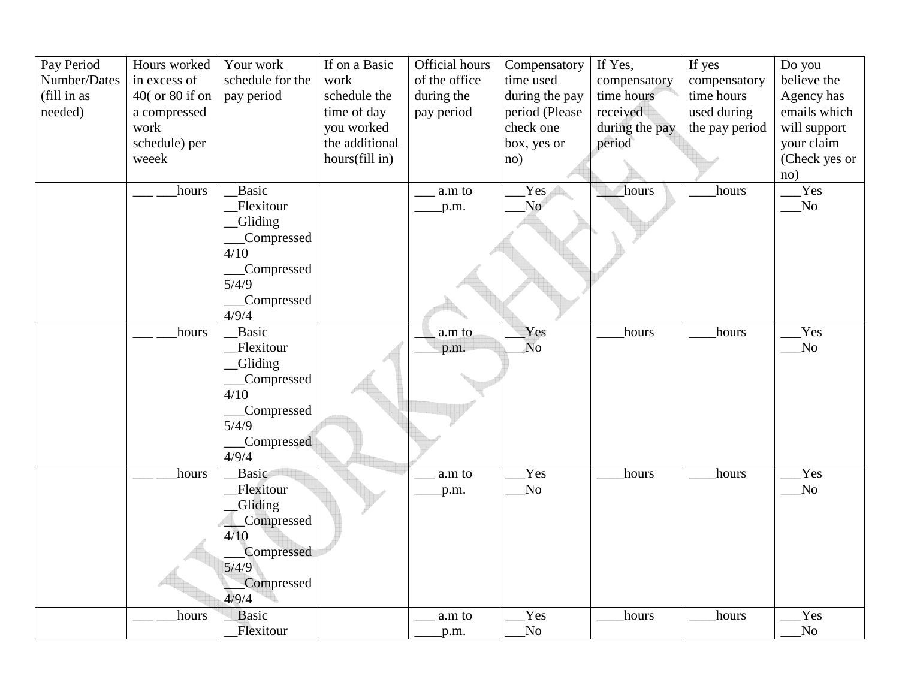| Pay Period   | Hours worked    | Your work        | If on a Basic  | Official hours | Compensatory   | If Yes,        | If yes         | Do you                 |
|--------------|-----------------|------------------|----------------|----------------|----------------|----------------|----------------|------------------------|
| Number/Dates | in excess of    | schedule for the | work           | of the office  | time used      | compensatory   | compensatory   | believe the            |
| (fill in as  | 40( or 80 if on | pay period       | schedule the   | during the     | during the pay | time hours     | time hours     | Agency has             |
| needed)      | a compressed    |                  | time of day    | pay period     | period (Please | received       | used during    | emails which           |
|              | work            |                  | you worked     |                | check one      | during the pay | the pay period | will support           |
|              | schedule) per   |                  | the additional |                | box, yes or    | period         |                | your claim             |
|              | weeek           |                  | hours(fill in) |                | no)            |                |                | (Check yes or          |
|              |                 |                  |                |                |                |                |                | no)                    |
|              | hours           | Basic            |                | a.m to         | Yes            | hours          | hours          | Yes                    |
|              |                 | Flexitour        |                | p.m.           | No             |                |                | $\overline{\text{No}}$ |
|              |                 | _Gliding         |                |                |                |                |                |                        |
|              |                 | Compressed       |                |                |                |                |                |                        |
|              |                 | 4/10             |                |                |                |                |                |                        |
|              |                 | Compressed       |                |                |                |                |                |                        |
|              |                 | 5/4/9            |                |                |                |                |                |                        |
|              |                 | Compressed       |                |                |                |                |                |                        |
|              |                 | 4/9/4            |                |                |                |                |                |                        |
|              | hours           | Basic            |                | a.m to         | Yes            | hours          | hours          | Yes                    |
|              |                 | Flexitour        |                | p.m.           | <b>No</b>      |                |                | No                     |
|              |                 | _Gliding         |                |                |                |                |                |                        |
|              |                 | Compressed       |                |                |                |                |                |                        |
|              |                 | 4/10             |                |                |                |                |                |                        |
|              |                 | Compressed       |                |                |                |                |                |                        |
|              |                 | 5/4/9            |                |                |                |                |                |                        |
|              |                 | Compressed       |                |                |                |                |                |                        |
|              |                 | 4/9/4            |                |                |                |                |                |                        |
|              | hours           | Basic            |                | a.m to         | Yes            | hours          | hours          | Yes                    |
|              |                 | Flexitour        |                | p.m.           | No             |                |                | N <sub>o</sub>         |
|              |                 | <b>Gliding</b>   |                |                |                |                |                |                        |
|              |                 | _Compressed      |                |                |                |                |                |                        |
|              |                 | 4/10             |                |                |                |                |                |                        |
|              |                 | Compressed       |                |                |                |                |                |                        |
|              |                 | 5/4/9            |                |                |                |                |                |                        |
|              |                 | Compressed       |                |                |                |                |                |                        |
|              |                 | 4/9/4            |                |                |                |                |                |                        |
|              | hours           | Basic            |                | a.m to         | Yes            | hours          | hours          | Yes                    |
|              |                 | Flexitour        |                | p.m.           | No             |                |                | No                     |